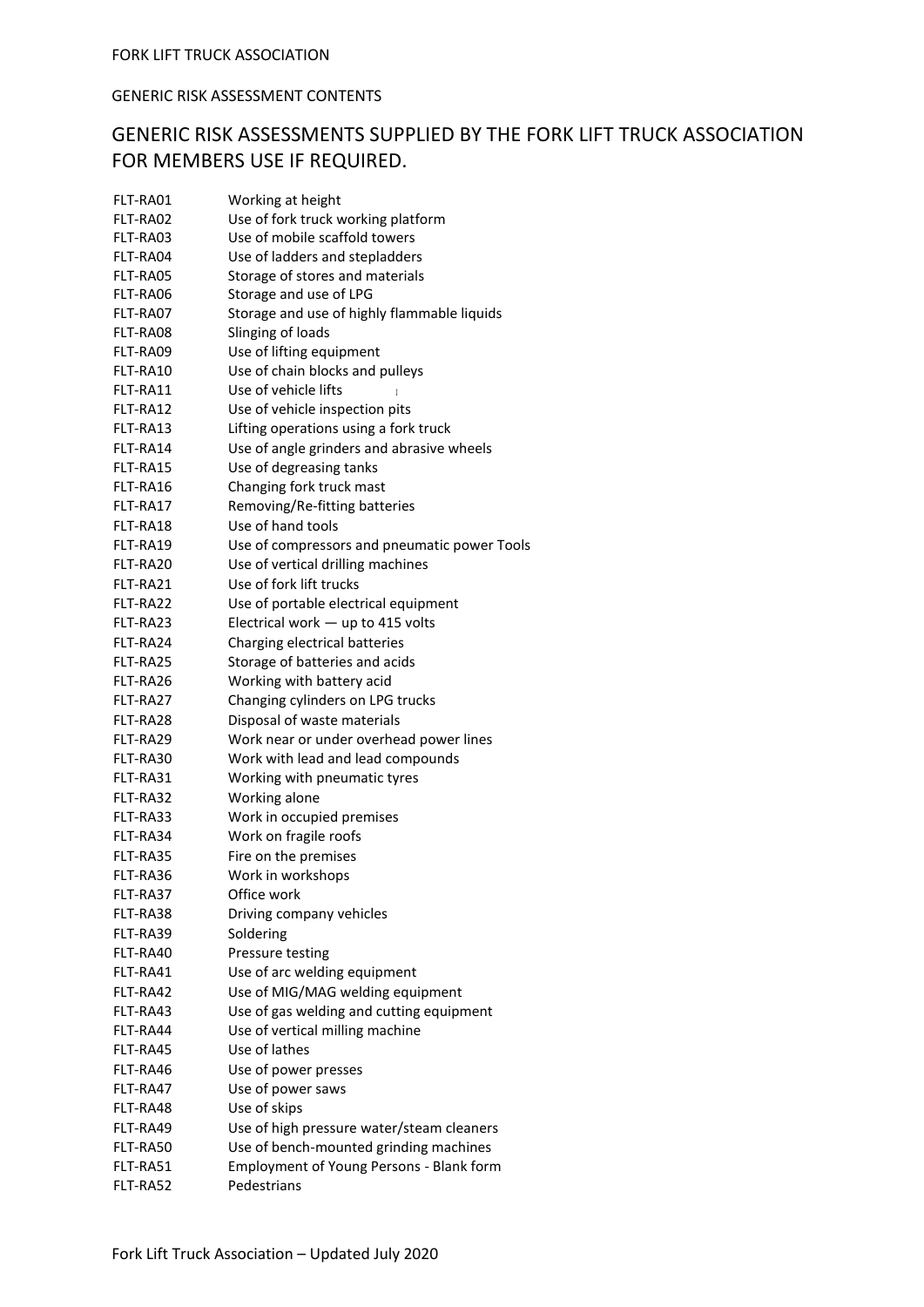## GENERIC RISK ASSESSMENT CONTENTS

## GENERIC RISK ASSESSMENTS SUPPLIED BY THE FORK LIFT TRUCK ASSOCIATION FOR MEMBERS USE IF REQUIRED.

| FLT-RA01 | Working at height                            |
|----------|----------------------------------------------|
| FLT-RA02 | Use of fork truck working platform           |
| FLT-RA03 | Use of mobile scaffold towers                |
| FLT-RA04 | Use of ladders and stepladders               |
| FLT-RA05 | Storage of stores and materials              |
| FLT-RA06 | Storage and use of LPG                       |
| FLT-RA07 | Storage and use of highly flammable liquids  |
| FLT-RA08 | Slinging of loads                            |
| FLT-RA09 | Use of lifting equipment                     |
| FLT-RA10 | Use of chain blocks and pulleys              |
| FLT-RA11 | Use of vehicle lifts                         |
| FLT-RA12 | Use of vehicle inspection pits               |
| FLT-RA13 | Lifting operations using a fork truck        |
| FLT-RA14 | Use of angle grinders and abrasive wheels    |
| FLT-RA15 | Use of degreasing tanks                      |
| FLT-RA16 | Changing fork truck mast                     |
| FLT-RA17 | Removing/Re-fitting batteries                |
| FLT-RA18 | Use of hand tools                            |
| FLT-RA19 | Use of compressors and pneumatic power Tools |
| FLT-RA20 | Use of vertical drilling machines            |
| FLT-RA21 | Use of fork lift trucks                      |
| FLT-RA22 | Use of portable electrical equipment         |
| FLT-RA23 | Electrical work $-$ up to 415 volts          |
| FLT-RA24 | Charging electrical batteries                |
| FLT-RA25 | Storage of batteries and acids               |
| FLT-RA26 | Working with battery acid                    |
| FLT-RA27 | Changing cylinders on LPG trucks             |
| FLT-RA28 | Disposal of waste materials                  |
| FLT-RA29 | Work near or under overhead power lines      |
| FLT-RA30 | Work with lead and lead compounds            |
| FLT-RA31 | Working with pneumatic tyres                 |
| FLT-RA32 | Working alone                                |
| FLT-RA33 | Work in occupied premises                    |
| FLT-RA34 | Work on fragile roofs                        |
| FLT-RA35 | Fire on the premises                         |
| FLT-RA36 | Work in workshops                            |
| FLT-RA37 | Office work                                  |
| FLT-RA38 | Driving company vehicles                     |
| FLT-RA39 | Soldering                                    |
| FLT-RA40 | Pressure testing                             |
| FLT-RA41 | Use of arc welding equipment                 |
| FLT-RA42 | Use of MIG/MAG welding equipment             |
| FLT-RA43 | Use of gas welding and cutting equipment     |
| FLT-RA44 | Use of vertical milling machine              |
| FLT-RA45 | Use of lathes                                |
| FLT-RA46 | Use of power presses                         |
| FLT-RA47 | Use of power saws                            |
| FLT-RA48 | Use of skips                                 |
| FLT-RA49 | Use of high pressure water/steam cleaners    |
| FLT-RA50 | Use of bench-mounted grinding machines       |
| FLT-RA51 | Employment of Young Persons - Blank form     |
| FLT-RA52 | Pedestrians                                  |